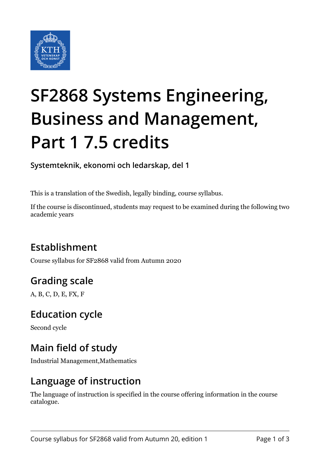

# **SF2868 Systems Engineering, Business and Management, Part 1 7.5 credits**

**Systemteknik, ekonomi och ledarskap, del 1**

This is a translation of the Swedish, legally binding, course syllabus.

If the course is discontinued, students may request to be examined during the following two academic years

# **Establishment**

Course syllabus for SF2868 valid from Autumn 2020

# **Grading scale**

A, B, C, D, E, FX, F

#### **Education cycle**

Second cycle

### **Main field of study**

Industrial Management,Mathematics

#### **Language of instruction**

The language of instruction is specified in the course offering information in the course catalogue.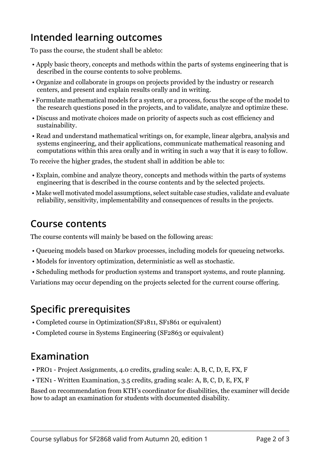## **Intended learning outcomes**

To pass the course, the student shall be ableto:

- Apply basic theory, concepts and methods within the parts of systems engineering that is described in the course contents to solve problems.
- Organize and collaborate in groups on projects provided by the industry or research centers, and present and explain results orally and in writing.
- Formulate mathematical models for a system, or a process, focus the scope of the model to the research questions posed in the projects, and to validate, analyze and optimize these.
- Discuss and motivate choices made on priority of aspects such as cost efficiency and sustainability.
- Read and understand mathematical writings on, for example, linear algebra, analysis and systems engineering, and their applications, communicate mathematical reasoning and computations within this area orally and in writing in such a way that it is easy to follow.

To receive the higher grades, the student shall in addition be able to:

- Explain, combine and analyze theory, concepts and methods within the parts of systems engineering that is described in the course contents and by the selected projects.
- Make well motivated model assumptions, select suitable case studies, validate and evaluate reliability, sensitivity, implementability and consequences of results in the projects.

#### **Course contents**

The course contents will mainly be based on the following areas:

- Queueing models based on Markov processes, including models for queueing networks.
- Models for inventory optimization, deterministic as well as stochastic.
- Scheduling methods for production systems and transport systems, and route planning.

Variations may occur depending on the projects selected for the current course offering.

#### **Specific prerequisites**

- Completed course in Optimization(SF1811, SF1861 or equivalent)
- Completed course in Systems Engineering (SF2863 or equivalent)

#### **Examination**

- PRO1 Project Assignments, 4.0 credits, grading scale: A, B, C, D, E, FX, F
- TEN1 Written Examination, 3.5 credits, grading scale: A, B, C, D, E, FX, F

Based on recommendation from KTH's coordinator for disabilities, the examiner will decide how to adapt an examination for students with documented disability.